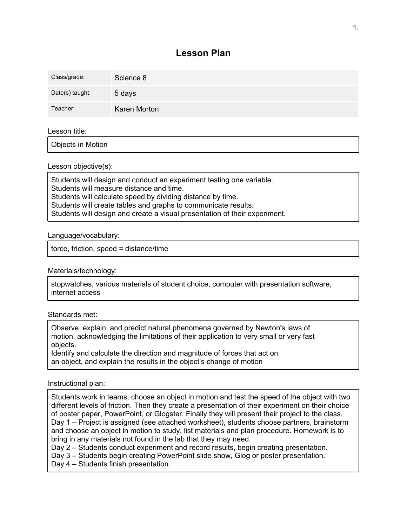# **Lesson Plan**

| Class/grade:    | Science 8    |
|-----------------|--------------|
| Date(s) taught: | 5 days       |
| Teacher:        | Karen Morton |

## Lesson title:

Objects in Motion

## Lesson objective(s):

Students will design and conduct an experiment testing one variable. Students will measure distance and time. Students will calculate speed by dividing distance by time. Students will create tables and graphs to communicate results. Students will design and create a visual presentation of their experiment.

## Language/vocabulary:

force, friction, speed = distance/time

## Materials/technology:

stopwatches, various materials of student choice, computer with presentation software, internet access

## Standards met:

Observe, explain, and predict natural phenomena governed by Newton's laws of motion, acknowledging the limitations of their application to very small or very fast objects.

Identify and calculate the direction and magnitude of forces that act on an object, and explain the results in the object's change of motion

## Instructional plan:

Students work in teams, choose an object in motion and test the speed of the object with two different levels of friction. Then they create a presentation of their experiment on their choice of poster paper, PowerPoint, or Glogster. Finally they will present their project to the class. Day 1 – Project is assigned (see attached worksheet), students choose partners, brainstorm and choose an object in motion to study, list materials and plan procedure. Homework is to bring in any materials not found in the lab that they may need.

Day 2 – Students conduct experiment and record results, begin creating presentation.

Day 3 – Students begin creating PowerPoint slide show, Glog or poster presentation.

Day 4 – Students finish presentation.